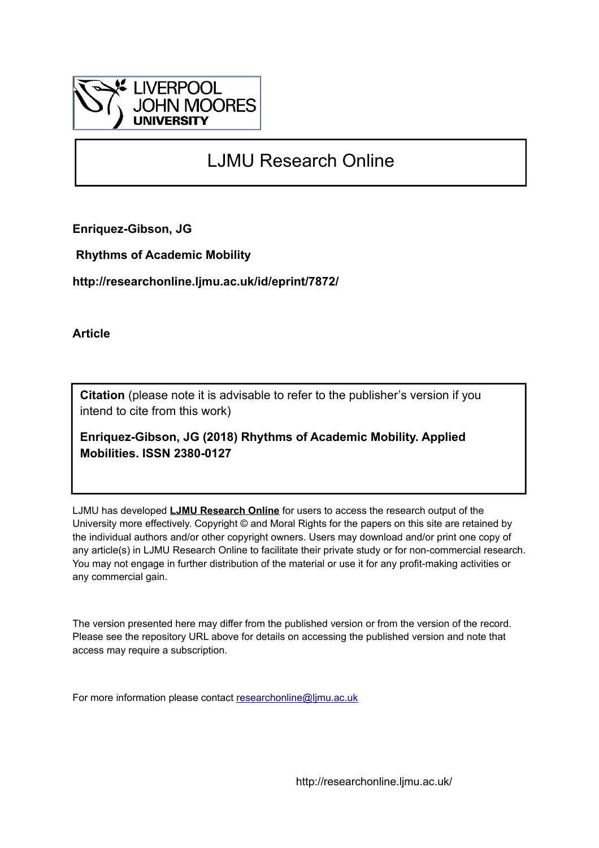

# LJMU Research Online

**Enriquez-Gibson, JG**

 **Rhythms of Academic Mobility**

**http://researchonline.ljmu.ac.uk/id/eprint/7872/**

**Article**

**Citation** (please note it is advisable to refer to the publisher's version if you intend to cite from this work)

**Enriquez-Gibson, JG (2018) Rhythms of Academic Mobility. Applied Mobilities. ISSN 2380-0127** 

LJMU has developed **[LJMU Research Online](http://researchonline.ljmu.ac.uk/)** for users to access the research output of the University more effectively. Copyright © and Moral Rights for the papers on this site are retained by the individual authors and/or other copyright owners. Users may download and/or print one copy of any article(s) in LJMU Research Online to facilitate their private study or for non-commercial research. You may not engage in further distribution of the material or use it for any profit-making activities or any commercial gain.

The version presented here may differ from the published version or from the version of the record. Please see the repository URL above for details on accessing the published version and note that access may require a subscription.

For more information please contact [researchonline@ljmu.ac.uk](mailto:researchonline@ljmu.ac.uk)

http://researchonline.ljmu.ac.uk/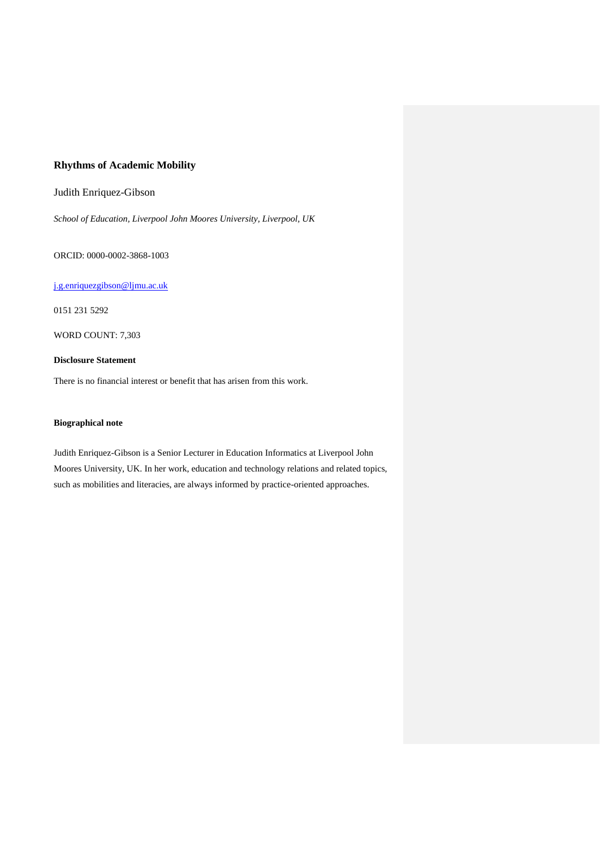# **Rhythms of Academic Mobility**

# Judith Enriquez-Gibson

*School of Education, Liverpool John Moores University, Liverpool, UK*

ORCID: 0000-0002-3868-1003

[j.g.enriquezgibson@ljmu.ac.uk](mailto:j.g.enriquezgibson@ljmu.ac.uk)

0151 231 5292

WORD COUNT: 7,303

# **Disclosure Statement**

There is no financial interest or benefit that has arisen from this work.

## **Biographical note**

Judith Enriquez-Gibson is a Senior Lecturer in Education Informatics at Liverpool John Moores University, UK. In her work, education and technology relations and related topics, such as mobilities and literacies, are always informed by practice-oriented approaches.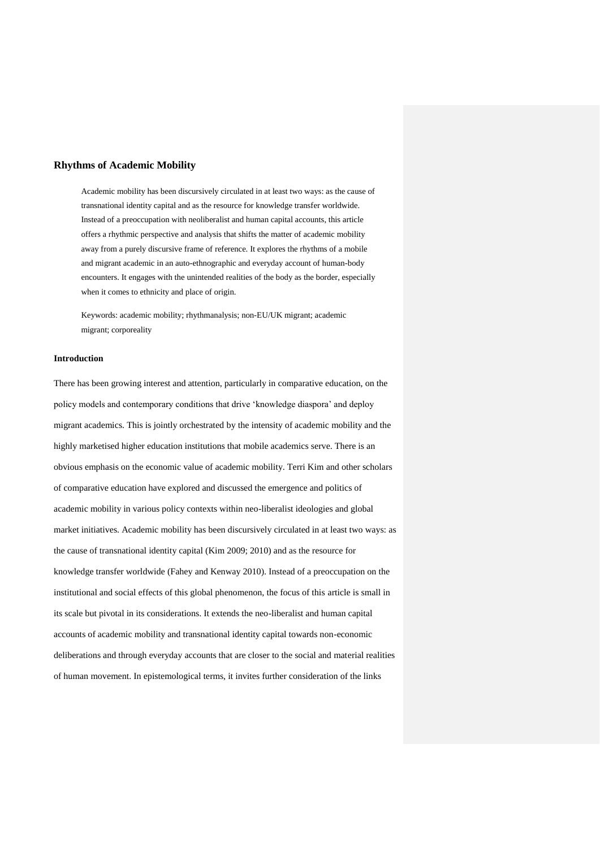## **Rhythms of Academic Mobility**

Academic mobility has been discursively circulated in at least two ways: as the cause of transnational identity capital and as the resource for knowledge transfer worldwide. Instead of a preoccupation with neoliberalist and human capital accounts, this article offers a rhythmic perspective and analysis that shifts the matter of academic mobility away from a purely discursive frame of reference. It explores the rhythms of a mobile and migrant academic in an auto-ethnographic and everyday account of human-body encounters. It engages with the unintended realities of the body as the border, especially when it comes to ethnicity and place of origin.

Keywords: academic mobility; rhythmanalysis; non-EU/UK migrant; academic migrant; corporeality

### **Introduction**

There has been growing interest and attention, particularly in comparative education, on the policy models and contemporary conditions that drive 'knowledge diaspora' and deploy migrant academics. This is jointly orchestrated by the intensity of academic mobility and the highly marketised higher education institutions that mobile academics serve. There is an obvious emphasis on the economic value of academic mobility. Terri Kim and other scholars of comparative education have explored and discussed the emergence and politics of academic mobility in various policy contexts within neo-liberalist ideologies and global market initiatives. Academic mobility has been discursively circulated in at least two ways: as the cause of transnational identity capital (Kim 2009; 2010) and as the resource for knowledge transfer worldwide (Fahey and Kenway 2010). Instead of a preoccupation on the institutional and social effects of this global phenomenon, the focus of this article is small in its scale but pivotal in its considerations. It extends the neo-liberalist and human capital accounts of academic mobility and transnational identity capital towards non-economic deliberations and through everyday accounts that are closer to the social and material realities of human movement. In epistemological terms, it invites further consideration of the links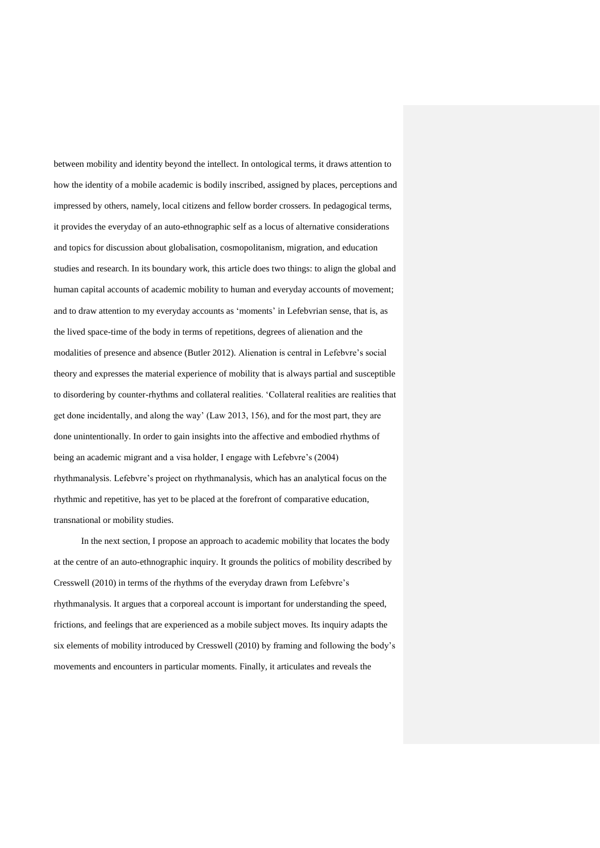between mobility and identity beyond the intellect. In ontological terms, it draws attention to how the identity of a mobile academic is bodily inscribed, assigned by places, perceptions and impressed by others, namely, local citizens and fellow border crossers. In pedagogical terms, it provides the everyday of an auto-ethnographic self as a locus of alternative considerations and topics for discussion about globalisation, cosmopolitanism, migration, and education studies and research. In its boundary work, this article does two things: to align the global and human capital accounts of academic mobility to human and everyday accounts of movement; and to draw attention to my everyday accounts as 'moments' in Lefebvrian sense, that is, as the lived space-time of the body in terms of repetitions, degrees of alienation and the modalities of presence and absence (Butler 2012). Alienation is central in Lefebvre's social theory and expresses the material experience of mobility that is always partial and susceptible to disordering by counter-rhythms and collateral realities. 'Collateral realities are realities that get done incidentally, and along the way' (Law 2013, 156), and for the most part, they are done unintentionally. In order to gain insights into the affective and embodied rhythms of being an academic migrant and a visa holder, I engage with Lefebvre's (2004) rhythmanalysis. Lefebvre's project on rhythmanalysis, which has an analytical focus on the rhythmic and repetitive, has yet to be placed at the forefront of comparative education, transnational or mobility studies.

In the next section, I propose an approach to academic mobility that locates the body at the centre of an auto-ethnographic inquiry. It grounds the politics of mobility described by Cresswell (2010) in terms of the rhythms of the everyday drawn from Lefebvre's rhythmanalysis. It argues that a corporeal account is important for understanding the speed, frictions, and feelings that are experienced as a mobile subject moves. Its inquiry adapts the six elements of mobility introduced by Cresswell (2010) by framing and following the body's movements and encounters in particular moments. Finally, it articulates and reveals the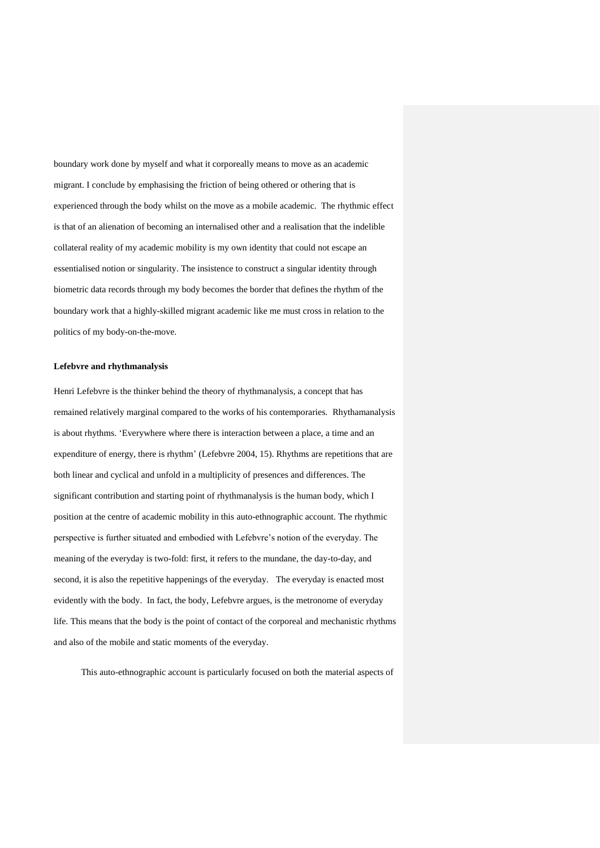boundary work done by myself and what it corporeally means to move as an academic migrant. I conclude by emphasising the friction of being othered or othering that is experienced through the body whilst on the move as a mobile academic. The rhythmic effect is that of an alienation of becoming an internalised other and a realisation that the indelible collateral reality of my academic mobility is my own identity that could not escape an essentialised notion or singularity. The insistence to construct a singular identity through biometric data records through my body becomes the border that defines the rhythm of the boundary work that a highly-skilled migrant academic like me must cross in relation to the politics of my body-on-the-move.

#### **Lefebvre and rhythmanalysis**

Henri Lefebvre is the thinker behind the theory of rhythmanalysis, a concept that has remained relatively marginal compared to the works of his contemporaries. Rhythamanalysis is about rhythms. 'Everywhere where there is interaction between a place, a time and an expenditure of energy, there is rhythm' (Lefebvre 2004, 15). Rhythms are repetitions that are both linear and cyclical and unfold in a multiplicity of presences and differences. The significant contribution and starting point of rhythmanalysis is the human body, which I position at the centre of academic mobility in this auto-ethnographic account. The rhythmic perspective is further situated and embodied with Lefebvre's notion of the everyday. The meaning of the everyday is two-fold: first, it refers to the mundane, the day-to-day, and second, it is also the repetitive happenings of the everyday. The everyday is enacted most evidently with the body. In fact, the body, Lefebvre argues, is the metronome of everyday life. This means that the body is the point of contact of the corporeal and mechanistic rhythms and also of the mobile and static moments of the everyday.

This auto-ethnographic account is particularly focused on both the material aspects of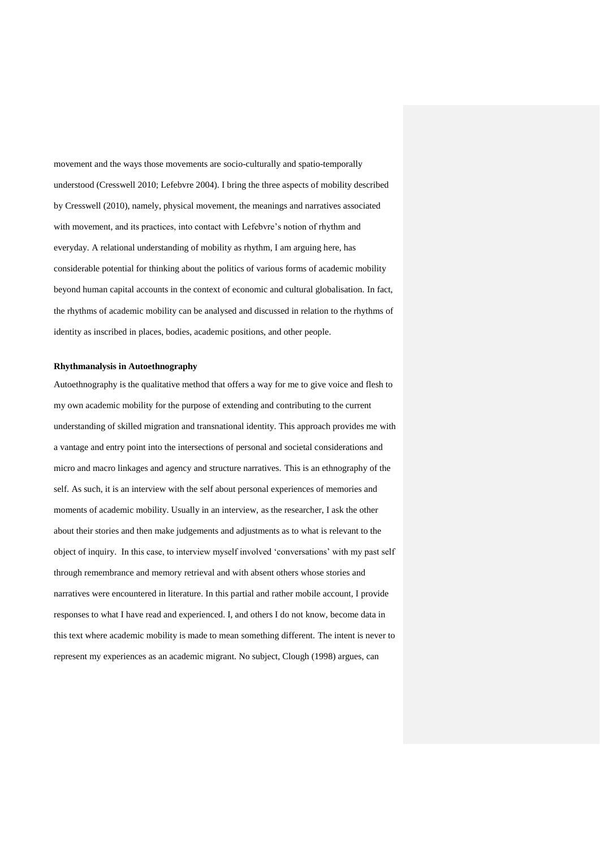movement and the ways those movements are socio-culturally and spatio-temporally understood (Cresswell 2010; Lefebvre 2004). I bring the three aspects of mobility described by Cresswell (2010), namely, physical movement, the meanings and narratives associated with movement, and its practices, into contact with Lefebvre's notion of rhythm and everyday. A relational understanding of mobility as rhythm, I am arguing here, has considerable potential for thinking about the politics of various forms of academic mobility beyond human capital accounts in the context of economic and cultural globalisation. In fact, the rhythms of academic mobility can be analysed and discussed in relation to the rhythms of identity as inscribed in places, bodies, academic positions, and other people.

#### **Rhythmanalysis in Autoethnography**

Autoethnography is the qualitative method that offers a way for me to give voice and flesh to my own academic mobility for the purpose of extending and contributing to the current understanding of skilled migration and transnational identity. This approach provides me with a vantage and entry point into the intersections of personal and societal considerations and micro and macro linkages and agency and structure narratives. This is an ethnography of the self. As such, it is an interview with the self about personal experiences of memories and moments of academic mobility. Usually in an interview, as the researcher, I ask the other about their stories and then make judgements and adjustments as to what is relevant to the object of inquiry. In this case, to interview myself involved 'conversations' with my past self through remembrance and memory retrieval and with absent others whose stories and narratives were encountered in literature. In this partial and rather mobile account, I provide responses to what I have read and experienced. I, and others I do not know, become data in this text where academic mobility is made to mean something different. The intent is never to represent my experiences as an academic migrant. No subject, Clough (1998) argues, can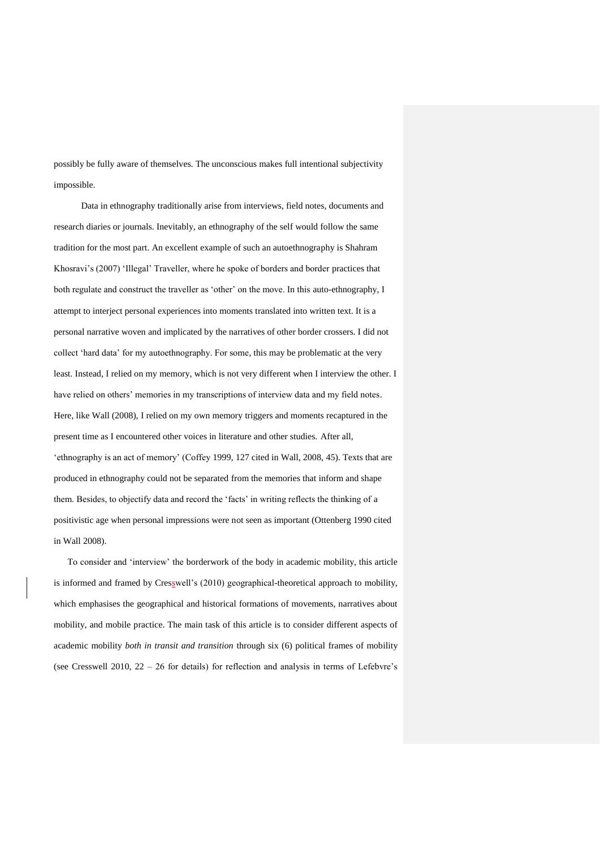possibly be fully aware of themselves. The unconscious makes full intentional subjectivity impossible.

Data in ethnography traditionally arise from interviews, field notes, documents and research diaries or journals. Inevitably, an ethnography of the self would follow the same tradition for the most part. An excellent example of such an autoethnography is Shahram Khosravi's (2007) 'Illegal' Traveller, where he spoke of borders and border practices that both regulate and construct the traveller as 'other' on the move. In this auto-ethnography, I attempt to interject personal experiences into moments translated into written text. It is a personal narrative woven and implicated by the narratives of other border crossers. I did not collect 'hard data' for my autoethnography. For some, this may be problematic at the very least. Instead, I relied on my memory, which is not very different when I interview the other. I have relied on others' memories in my transcriptions of interview data and my field notes. Here, like Wall (2008), I relied on my own memory triggers and moments recaptured in the present time as I encountered other voices in literature and other studies. After all, 'ethnography is an act of memory' (Coffey 1999, 127 cited in Wall, 2008, 45). Texts that are produced in ethnography could not be separated from the memories that inform and shape them. Besides, to objectify data and record the 'facts' in writing reflects the thinking of a positivistic age when personal impressions were not seen as important (Ottenberg 1990 cited in Wall 2008).

To consider and 'interview' the borderwork of the body in academic mobility, this article is informed and framed by Cresswell's (2010) geographical-theoretical approach to mobility, which emphasises the geographical and historical formations of movements, narratives about mobility, and mobile practice. The main task of this article is to consider different aspects of academic mobility *both in transit and transition* through six (6) political frames of mobility (see Cresswell 2010, 22 – 26 for details) for reflection and analysis in terms of Lefebvre's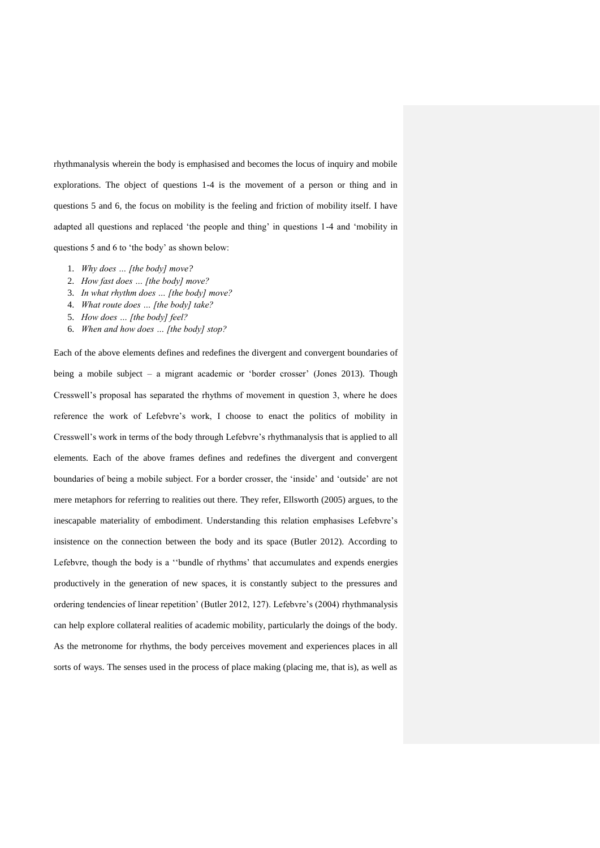rhythmanalysis wherein the body is emphasised and becomes the locus of inquiry and mobile explorations. The object of questions 1-4 is the movement of a person or thing and in questions 5 and 6, the focus on mobility is the feeling and friction of mobility itself. I have adapted all questions and replaced 'the people and thing' in questions 1-4 and 'mobility in questions 5 and 6 to 'the body' as shown below:

- 1. *Why does … [the body] move?*
- 2. *How fast does … [the body] move?*
- 3. *In what rhythm does … [the body] move?*
- 4. *What route does … [the body] take?*
- 5. *How does … [the body] feel?*
- 6. *When and how does … [the body] stop?*

Each of the above elements defines and redefines the divergent and convergent boundaries of being a mobile subject – a migrant academic or 'border crosser' (Jones 2013). Though Cresswell's proposal has separated the rhythms of movement in question 3, where he does reference the work of Lefebvre's work, I choose to enact the politics of mobility in Cresswell's work in terms of the body through Lefebvre's rhythmanalysis that is applied to all elements. Each of the above frames defines and redefines the divergent and convergent boundaries of being a mobile subject. For a border crosser, the 'inside' and 'outside' are not mere metaphors for referring to realities out there. They refer, Ellsworth (2005) argues, to the inescapable materiality of embodiment. Understanding this relation emphasises Lefebvre's insistence on the connection between the body and its space (Butler 2012). According to Lefebvre, though the body is a ''bundle of rhythms' that accumulates and expends energies productively in the generation of new spaces, it is constantly subject to the pressures and ordering tendencies of linear repetition' (Butler 2012, 127). Lefebvre's (2004) rhythmanalysis can help explore collateral realities of academic mobility, particularly the doings of the body. As the metronome for rhythms, the body perceives movement and experiences places in all sorts of ways. The senses used in the process of place making (placing me, that is), as well as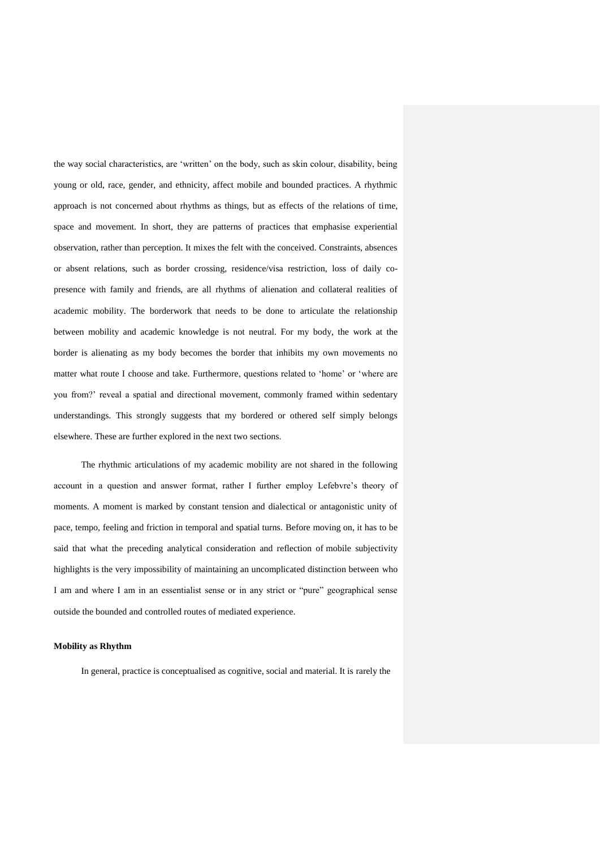the way social characteristics, are 'written' on the body, such as skin colour, disability, being young or old, race, gender, and ethnicity, affect mobile and bounded practices. A rhythmic approach is not concerned about rhythms as things, but as effects of the relations of time, space and movement. In short, they are patterns of practices that emphasise experiential observation, rather than perception. It mixes the felt with the conceived. Constraints, absences or absent relations, such as border crossing, residence/visa restriction, loss of daily copresence with family and friends, are all rhythms of alienation and collateral realities of academic mobility. The borderwork that needs to be done to articulate the relationship between mobility and academic knowledge is not neutral. For my body, the work at the border is alienating as my body becomes the border that inhibits my own movements no matter what route I choose and take. Furthermore, questions related to 'home' or 'where are you from?' reveal a spatial and directional movement, commonly framed within sedentary understandings. This strongly suggests that my bordered or othered self simply belongs elsewhere. These are further explored in the next two sections.

The rhythmic articulations of my academic mobility are not shared in the following account in a question and answer format, rather I further employ Lefebvre's theory of moments. A moment is marked by constant tension and dialectical or antagonistic unity of pace, tempo, feeling and friction in temporal and spatial turns. Before moving on, it has to be said that what the preceding analytical consideration and reflection of mobile subjectivity highlights is the very impossibility of maintaining an uncomplicated distinction between who I am and where I am in an essentialist sense or in any strict or "pure" geographical sense outside the bounded and controlled routes of mediated experience.

#### **Mobility as Rhythm**

In general, practice is conceptualised as cognitive, social and material. It is rarely the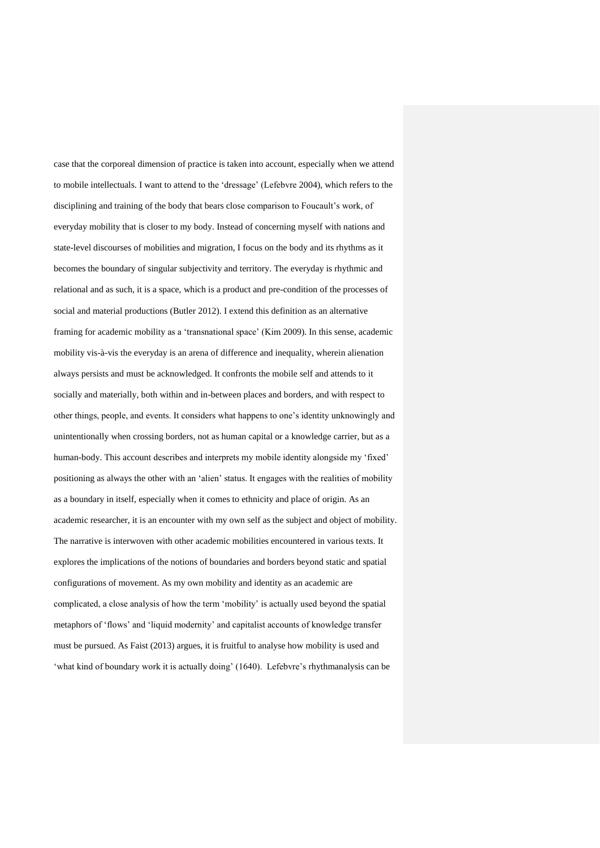case that the corporeal dimension of practice is taken into account, especially when we attend to mobile intellectuals. I want to attend to the 'dressage' (Lefebvre 2004), which refers to the disciplining and training of the body that bears close comparison to Foucault's work, of everyday mobility that is closer to my body. Instead of concerning myself with nations and state-level discourses of mobilities and migration, I focus on the body and its rhythms as it becomes the boundary of singular subjectivity and territory. The everyday is rhythmic and relational and as such, it is a space, which is a product and pre-condition of the processes of social and material productions (Butler 2012). I extend this definition as an alternative framing for academic mobility as a 'transnational space' (Kim 2009). In this sense, academic mobility vis-à-vis the everyday is an arena of difference and inequality, wherein alienation always persists and must be acknowledged. It confronts the mobile self and attends to it socially and materially, both within and in-between places and borders, and with respect to other things, people, and events. It considers what happens to one's identity unknowingly and unintentionally when crossing borders, not as human capital or a knowledge carrier, but as a human-body. This account describes and interprets my mobile identity alongside my 'fixed' positioning as always the other with an 'alien' status. It engages with the realities of mobility as a boundary in itself, especially when it comes to ethnicity and place of origin. As an academic researcher, it is an encounter with my own self as the subject and object of mobility. The narrative is interwoven with other academic mobilities encountered in various texts. It explores the implications of the notions of boundaries and borders beyond static and spatial configurations of movement. As my own mobility and identity as an academic are complicated, a close analysis of how the term 'mobility' is actually used beyond the spatial metaphors of 'flows' and 'liquid modernity' and capitalist accounts of knowledge transfer must be pursued. As Faist (2013) argues, it is fruitful to analyse how mobility is used and 'what kind of boundary work it is actually doing' (1640). Lefebvre's rhythmanalysis can be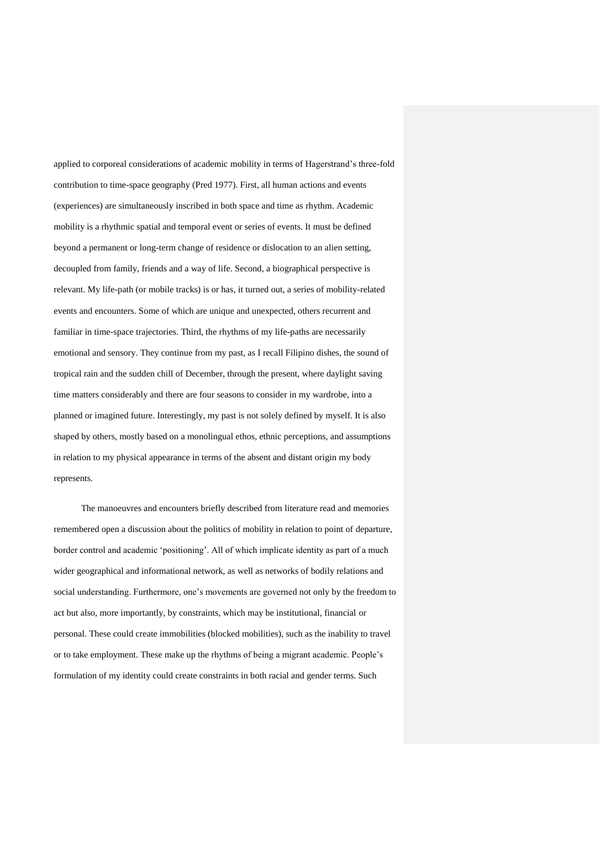applied to corporeal considerations of academic mobility in terms of Hagerstrand's three-fold contribution to time-space geography (Pred 1977). First, all human actions and events (experiences) are simultaneously inscribed in both space and time as rhythm. Academic mobility is a rhythmic spatial and temporal event or series of events. It must be defined beyond a permanent or long-term change of residence or dislocation to an alien setting, decoupled from family, friends and a way of life. Second, a biographical perspective is relevant. My life-path (or mobile tracks) is or has, it turned out, a series of mobility-related events and encounters. Some of which are unique and unexpected, others recurrent and familiar in time-space trajectories. Third, the rhythms of my life-paths are necessarily emotional and sensory. They continue from my past, as I recall Filipino dishes, the sound of tropical rain and the sudden chill of December, through the present, where daylight saving time matters considerably and there are four seasons to consider in my wardrobe, into a planned or imagined future. Interestingly, my past is not solely defined by myself. It is also shaped by others, mostly based on a monolingual ethos, ethnic perceptions, and assumptions in relation to my physical appearance in terms of the absent and distant origin my body represents.

The manoeuvres and encounters briefly described from literature read and memories remembered open a discussion about the politics of mobility in relation to point of departure, border control and academic 'positioning'. All of which implicate identity as part of a much wider geographical and informational network, as well as networks of bodily relations and social understanding. Furthermore, one's movements are governed not only by the freedom to act but also, more importantly, by constraints, which may be institutional, financial or personal. These could create immobilities (blocked mobilities), such as the inability to travel or to take employment. These make up the rhythms of being a migrant academic. People's formulation of my identity could create constraints in both racial and gender terms. Such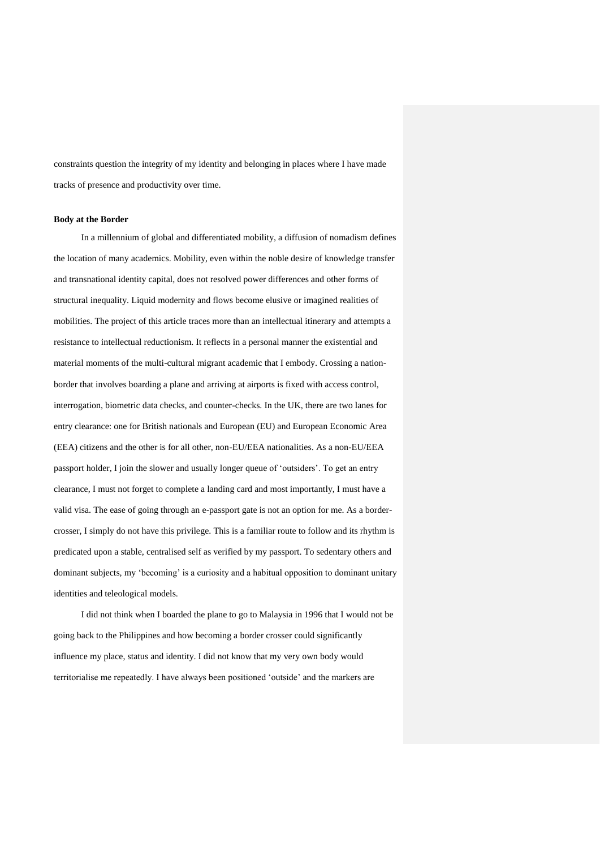constraints question the integrity of my identity and belonging in places where I have made tracks of presence and productivity over time.

#### **Body at the Border**

In a millennium of global and differentiated mobility, a diffusion of nomadism defines the location of many academics. Mobility, even within the noble desire of knowledge transfer and transnational identity capital, does not resolved power differences and other forms of structural inequality. Liquid modernity and flows become elusive or imagined realities of mobilities. The project of this article traces more than an intellectual itinerary and attempts a resistance to intellectual reductionism. It reflects in a personal manner the existential and material moments of the multi-cultural migrant academic that I embody. Crossing a nationborder that involves boarding a plane and arriving at airports is fixed with access control, interrogation, biometric data checks, and counter-checks. In the UK, there are two lanes for entry clearance: one for British nationals and European (EU) and European Economic Area (EEA) citizens and the other is for all other, non-EU/EEA nationalities. As a non-EU/EEA passport holder, I join the slower and usually longer queue of 'outsiders'. To get an entry clearance, I must not forget to complete a landing card and most importantly, I must have a valid visa. The ease of going through an e-passport gate is not an option for me. As a bordercrosser, I simply do not have this privilege. This is a familiar route to follow and its rhythm is predicated upon a stable, centralised self as verified by my passport. To sedentary others and dominant subjects, my 'becoming' is a curiosity and a habitual opposition to dominant unitary identities and teleological models.

I did not think when I boarded the plane to go to Malaysia in 1996 that I would not be going back to the Philippines and how becoming a border crosser could significantly influence my place, status and identity. I did not know that my very own body would territorialise me repeatedly. I have always been positioned 'outside' and the markers are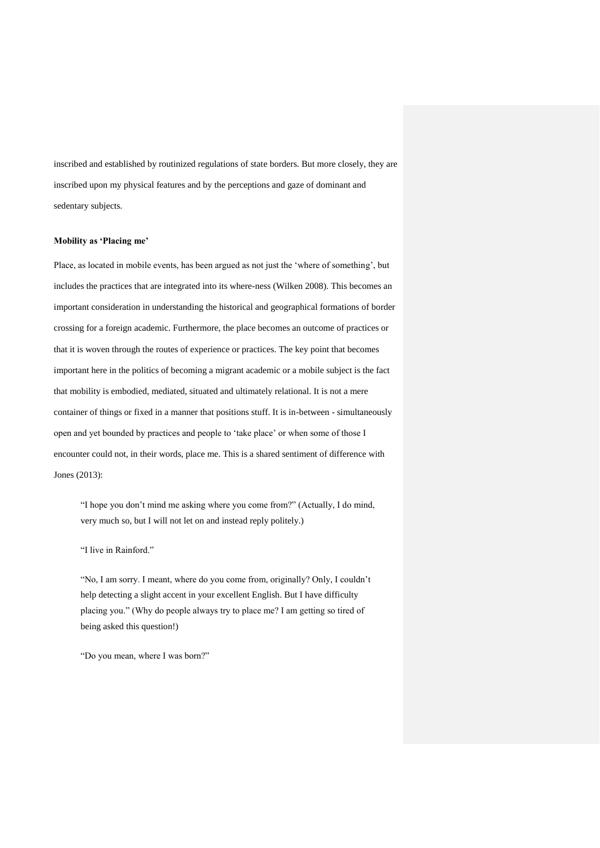inscribed and established by routinized regulations of state borders. But more closely, they are inscribed upon my physical features and by the perceptions and gaze of dominant and sedentary subjects.

## **Mobility as 'Placing me'**

Place, as located in mobile events, has been argued as not just the 'where of something', but includes the practices that are integrated into its where-ness (Wilken 2008). This becomes an important consideration in understanding the historical and geographical formations of border crossing for a foreign academic. Furthermore, the place becomes an outcome of practices or that it is woven through the routes of experience or practices. The key point that becomes important here in the politics of becoming a migrant academic or a mobile subject is the fact that mobility is embodied, mediated, situated and ultimately relational. It is not a mere container of things or fixed in a manner that positions stuff. It is in-between - simultaneously open and yet bounded by practices and people to 'take place' or when some of those I encounter could not, in their words, place me. This is a shared sentiment of difference with Jones (2013):

"I hope you don't mind me asking where you come from?" (Actually, I do mind, very much so, but I will not let on and instead reply politely.)

"I live in Rainford."

"No, I am sorry. I meant, where do you come from, originally? Only, I couldn't help detecting a slight accent in your excellent English. But I have difficulty placing you." (Why do people always try to place me? I am getting so tired of being asked this question!)

"Do you mean, where I was born?"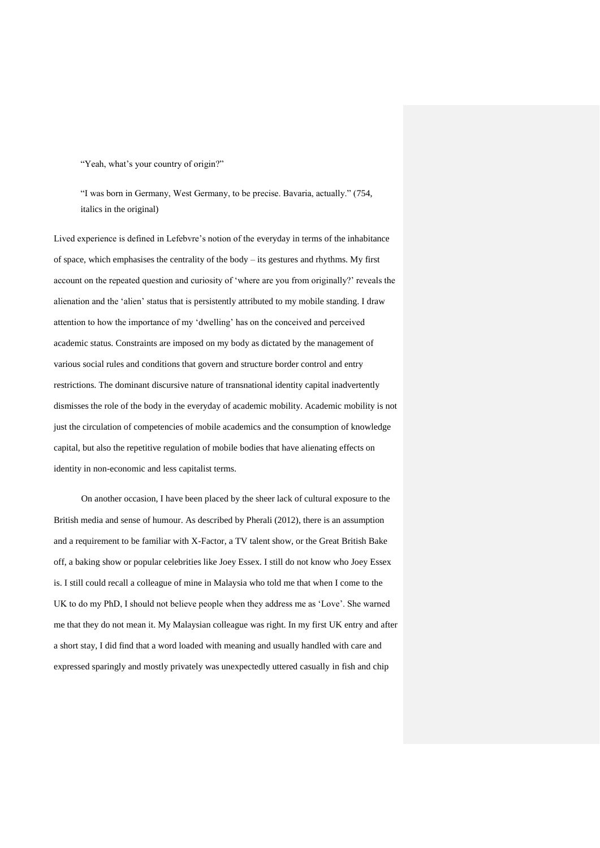"Yeah, what's your country of origin?"

"I was born in Germany, West Germany, to be precise. Bavaria, actually." (754, italics in the original)

Lived experience is defined in Lefebvre's notion of the everyday in terms of the inhabitance of space, which emphasises the centrality of the body – its gestures and rhythms. My first account on the repeated question and curiosity of 'where are you from originally?' reveals the alienation and the 'alien' status that is persistently attributed to my mobile standing. I draw attention to how the importance of my 'dwelling' has on the conceived and perceived academic status. Constraints are imposed on my body as dictated by the management of various social rules and conditions that govern and structure border control and entry restrictions. The dominant discursive nature of transnational identity capital inadvertently dismisses the role of the body in the everyday of academic mobility. Academic mobility is not just the circulation of competencies of mobile academics and the consumption of knowledge capital, but also the repetitive regulation of mobile bodies that have alienating effects on identity in non-economic and less capitalist terms.

On another occasion, I have been placed by the sheer lack of cultural exposure to the British media and sense of humour. As described by Pherali (2012), there is an assumption and a requirement to be familiar with X-Factor, a TV talent show, or the Great British Bake off, a baking show or popular celebrities like Joey Essex. I still do not know who Joey Essex is. I still could recall a colleague of mine in Malaysia who told me that when I come to the UK to do my PhD, I should not believe people when they address me as 'Love'. She warned me that they do not mean it. My Malaysian colleague was right. In my first UK entry and after a short stay, I did find that a word loaded with meaning and usually handled with care and expressed sparingly and mostly privately was unexpectedly uttered casually in fish and chip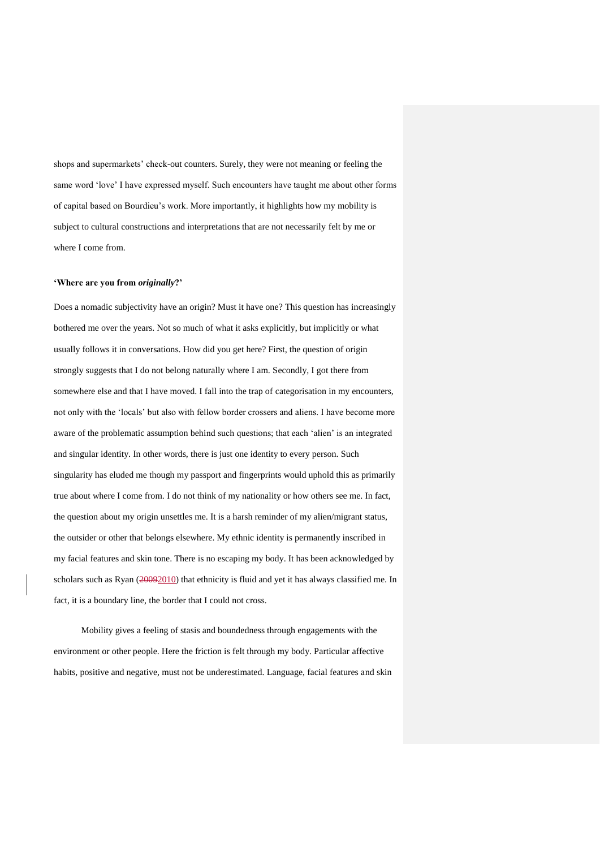shops and supermarkets' check-out counters. Surely, they were not meaning or feeling the same word 'love' I have expressed myself. Such encounters have taught me about other forms of capital based on Bourdieu's work. More importantly, it highlights how my mobility is subject to cultural constructions and interpretations that are not necessarily felt by me or where I come from.

#### **'Where are you from** *originally***?'**

Does a nomadic subjectivity have an origin? Must it have one? This question has increasingly bothered me over the years. Not so much of what it asks explicitly, but implicitly or what usually follows it in conversations. How did you get here? First, the question of origin strongly suggests that I do not belong naturally where I am. Secondly, I got there from somewhere else and that I have moved. I fall into the trap of categorisation in my encounters, not only with the 'locals' but also with fellow border crossers and aliens. I have become more aware of the problematic assumption behind such questions; that each 'alien' is an integrated and singular identity. In other words, there is just one identity to every person. Such singularity has eluded me though my passport and fingerprints would uphold this as primarily true about where I come from. I do not think of my nationality or how others see me. In fact, the question about my origin unsettles me. It is a harsh reminder of my alien/migrant status, the outsider or other that belongs elsewhere. My ethnic identity is permanently inscribed in my facial features and skin tone. There is no escaping my body. It has been acknowledged by scholars such as Ryan (20092010) that ethnicity is fluid and yet it has always classified me. In fact, it is a boundary line, the border that I could not cross.

Mobility gives a feeling of stasis and boundedness through engagements with the environment or other people. Here the friction is felt through my body. Particular affective habits, positive and negative, must not be underestimated. Language, facial features and skin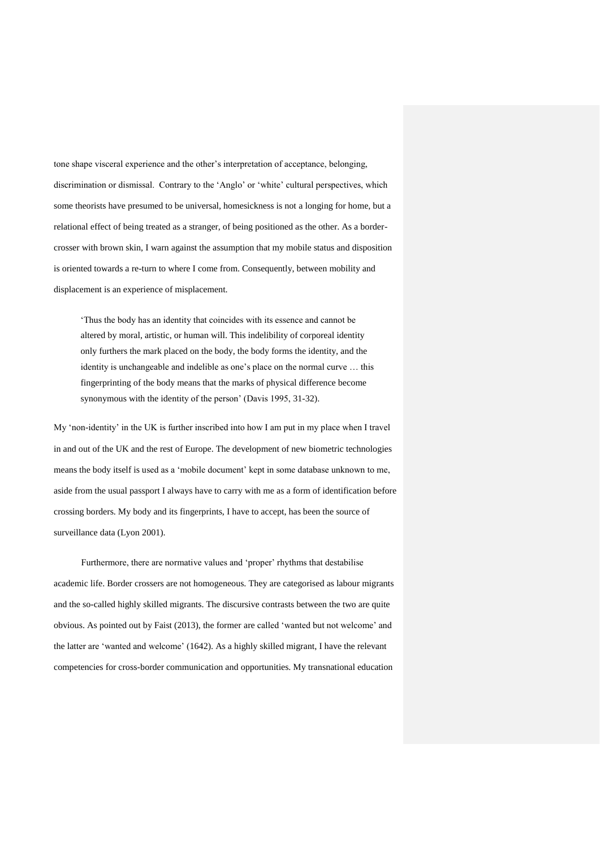tone shape visceral experience and the other's interpretation of acceptance, belonging, discrimination or dismissal. Contrary to the 'Anglo' or 'white' cultural perspectives, which some theorists have presumed to be universal, homesickness is not a longing for home, but a relational effect of being treated as a stranger, of being positioned as the other. As a bordercrosser with brown skin, I warn against the assumption that my mobile status and disposition is oriented towards a re-turn to where I come from. Consequently, between mobility and displacement is an experience of misplacement.

'Thus the body has an identity that coincides with its essence and cannot be altered by moral, artistic, or human will. This indelibility of corporeal identity only furthers the mark placed on the body, the body forms the identity, and the identity is unchangeable and indelible as one's place on the normal curve … this fingerprinting of the body means that the marks of physical difference become synonymous with the identity of the person' (Davis 1995, 31-32).

My 'non-identity' in the UK is further inscribed into how I am put in my place when I travel in and out of the UK and the rest of Europe. The development of new biometric technologies means the body itself is used as a 'mobile document' kept in some database unknown to me, aside from the usual passport I always have to carry with me as a form of identification before crossing borders. My body and its fingerprints, I have to accept, has been the source of surveillance data (Lyon 2001).

Furthermore, there are normative values and 'proper' rhythms that destabilise academic life. Border crossers are not homogeneous. They are categorised as labour migrants and the so-called highly skilled migrants. The discursive contrasts between the two are quite obvious. As pointed out by Faist (2013), the former are called 'wanted but not welcome' and the latter are 'wanted and welcome' (1642). As a highly skilled migrant, I have the relevant competencies for cross-border communication and opportunities. My transnational education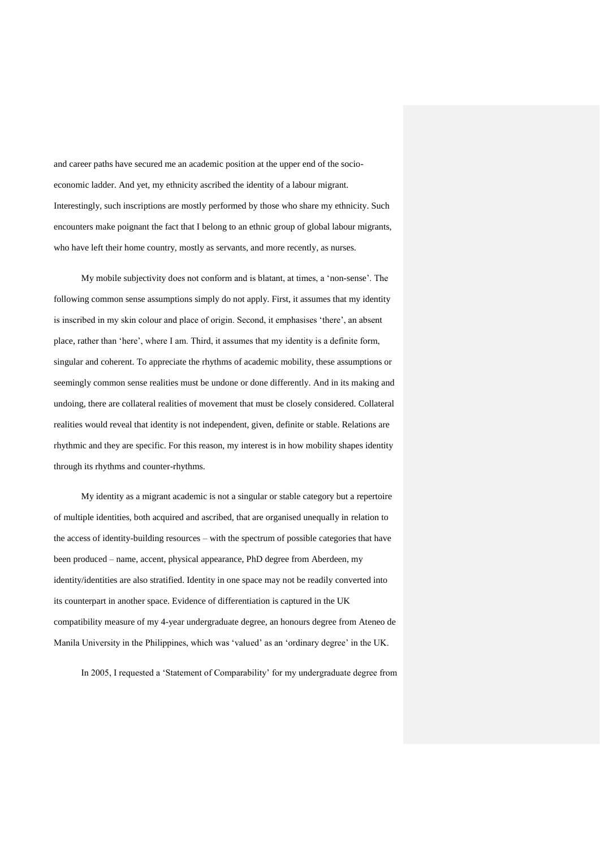and career paths have secured me an academic position at the upper end of the socioeconomic ladder. And yet, my ethnicity ascribed the identity of a labour migrant. Interestingly, such inscriptions are mostly performed by those who share my ethnicity. Such encounters make poignant the fact that I belong to an ethnic group of global labour migrants, who have left their home country, mostly as servants, and more recently, as nurses.

My mobile subjectivity does not conform and is blatant, at times, a 'non-sense'. The following common sense assumptions simply do not apply. First, it assumes that my identity is inscribed in my skin colour and place of origin. Second, it emphasises 'there', an absent place, rather than 'here', where I am. Third, it assumes that my identity is a definite form, singular and coherent. To appreciate the rhythms of academic mobility, these assumptions or seemingly common sense realities must be undone or done differently. And in its making and undoing, there are collateral realities of movement that must be closely considered. Collateral realities would reveal that identity is not independent, given, definite or stable. Relations are rhythmic and they are specific. For this reason, my interest is in how mobility shapes identity through its rhythms and counter-rhythms.

My identity as a migrant academic is not a singular or stable category but a repertoire of multiple identities, both acquired and ascribed, that are organised unequally in relation to the access of identity-building resources – with the spectrum of possible categories that have been produced – name, accent, physical appearance, PhD degree from Aberdeen, my identity/identities are also stratified. Identity in one space may not be readily converted into its counterpart in another space. Evidence of differentiation is captured in the UK compatibility measure of my 4-year undergraduate degree, an honours degree from Ateneo de Manila University in the Philippines, which was 'valued' as an 'ordinary degree' in the UK.

In 2005, I requested a 'Statement of Comparability' for my undergraduate degree from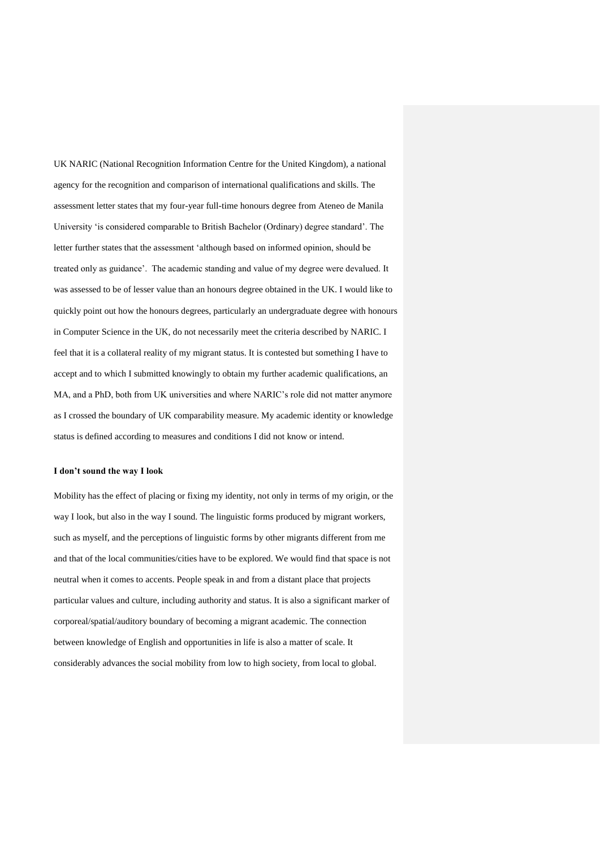UK NARIC (National Recognition Information Centre for the United Kingdom), a national agency for the recognition and comparison of international qualifications and skills. The assessment letter states that my four-year full-time honours degree from Ateneo de Manila University 'is considered comparable to British Bachelor (Ordinary) degree standard'. The letter further states that the assessment 'although based on informed opinion, should be treated only as guidance'. The academic standing and value of my degree were devalued. It was assessed to be of lesser value than an honours degree obtained in the UK. I would like to quickly point out how the honours degrees, particularly an undergraduate degree with honours in Computer Science in the UK, do not necessarily meet the criteria described by NARIC. I feel that it is a collateral reality of my migrant status. It is contested but something I have to accept and to which I submitted knowingly to obtain my further academic qualifications, an MA, and a PhD, both from UK universities and where NARIC's role did not matter anymore as I crossed the boundary of UK comparability measure. My academic identity or knowledge status is defined according to measures and conditions I did not know or intend.

#### **I don't sound the way I look**

Mobility has the effect of placing or fixing my identity, not only in terms of my origin, or the way I look, but also in the way I sound. The linguistic forms produced by migrant workers, such as myself, and the perceptions of linguistic forms by other migrants different from me and that of the local communities/cities have to be explored. We would find that space is not neutral when it comes to accents. People speak in and from a distant place that projects particular values and culture, including authority and status. It is also a significant marker of corporeal/spatial/auditory boundary of becoming a migrant academic. The connection between knowledge of English and opportunities in life is also a matter of scale. It considerably advances the social mobility from low to high society, from local to global.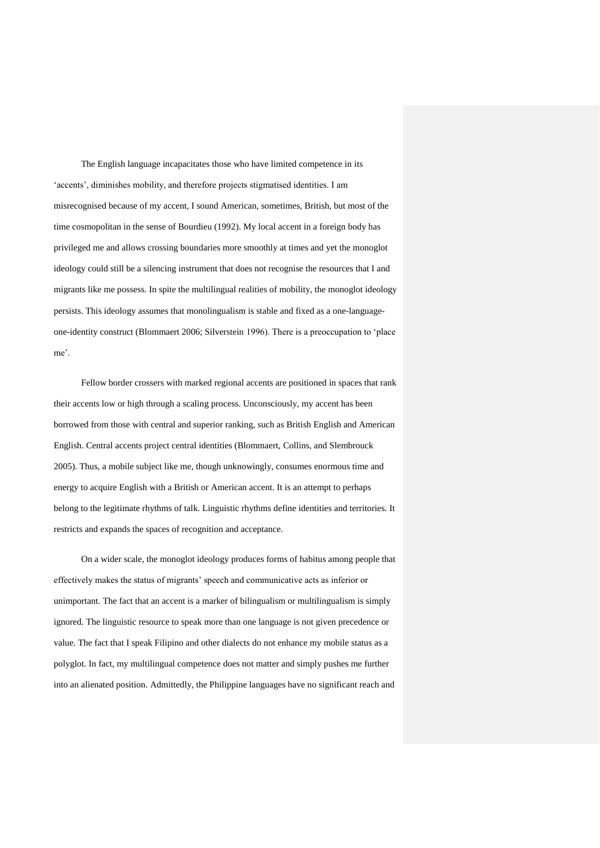The English language incapacitates those who have limited competence in its 'accents', diminishes mobility, and therefore projects stigmatised identities. I am misrecognised because of my accent, I sound American, sometimes, British, but most of the time cosmopolitan in the sense of Bourdieu (1992). My local accent in a foreign body has privileged me and allows crossing boundaries more smoothly at times and yet the monoglot ideology could still be a silencing instrument that does not recognise the resources that I and migrants like me possess. In spite the multilingual realities of mobility, the monoglot ideology persists. This ideology assumes that monolingualism is stable and fixed as a one-languageone-identity construct (Blommaert 2006; Silverstein 1996). There is a preoccupation to 'place me'.

Fellow border crossers with marked regional accents are positioned in spaces that rank their accents low or high through a scaling process. Unconsciously, my accent has been borrowed from those with central and superior ranking, such as British English and American English. Central accents project central identities (Blommaert, Collins, and Slembrouck 2005). Thus, a mobile subject like me, though unknowingly, consumes enormous time and energy to acquire English with a British or American accent. It is an attempt to perhaps belong to the legitimate rhythms of talk. Linguistic rhythms define identities and territories. It restricts and expands the spaces of recognition and acceptance.

On a wider scale, the monoglot ideology produces forms of habitus among people that effectively makes the status of migrants' speech and communicative acts as inferior or unimportant. The fact that an accent is a marker of bilingualism or multilingualism is simply ignored. The linguistic resource to speak more than one language is not given precedence or value. The fact that I speak Filipino and other dialects do not enhance my mobile status as a polyglot. In fact, my multilingual competence does not matter and simply pushes me further into an alienated position. Admittedly, the Philippine languages have no significant reach and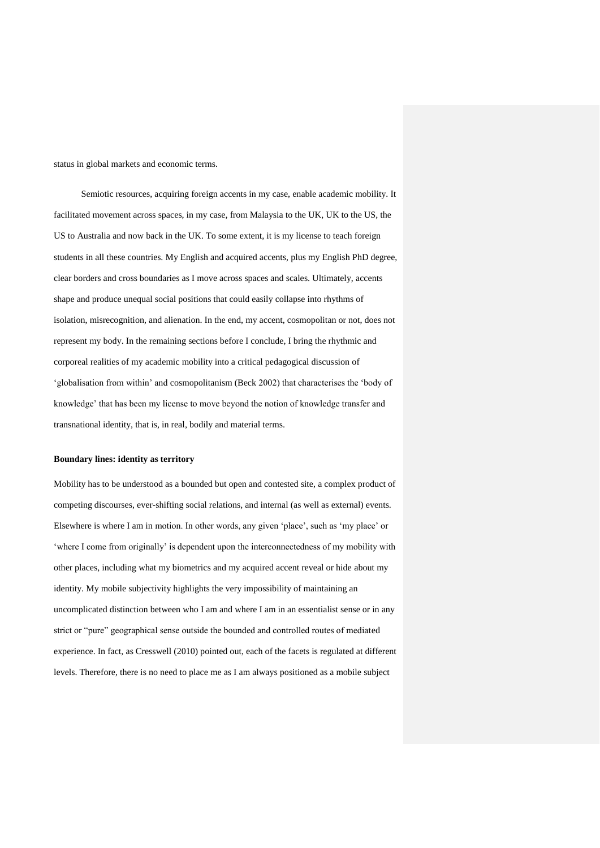status in global markets and economic terms.

Semiotic resources, acquiring foreign accents in my case, enable academic mobility. It facilitated movement across spaces, in my case, from Malaysia to the UK, UK to the US, the US to Australia and now back in the UK. To some extent, it is my license to teach foreign students in all these countries. My English and acquired accents, plus my English PhD degree, clear borders and cross boundaries as I move across spaces and scales. Ultimately, accents shape and produce unequal social positions that could easily collapse into rhythms of isolation, misrecognition, and alienation. In the end, my accent, cosmopolitan or not, does not represent my body. In the remaining sections before I conclude, I bring the rhythmic and corporeal realities of my academic mobility into a critical pedagogical discussion of 'globalisation from within' and cosmopolitanism (Beck 2002) that characterises the 'body of knowledge' that has been my license to move beyond the notion of knowledge transfer and transnational identity, that is, in real, bodily and material terms.

#### **Boundary lines: identity as territory**

Mobility has to be understood as a bounded but open and contested site, a complex product of competing discourses, ever-shifting social relations, and internal (as well as external) events. Elsewhere is where I am in motion. In other words, any given 'place', such as 'my place' or 'where I come from originally' is dependent upon the interconnectedness of my mobility with other places, including what my biometrics and my acquired accent reveal or hide about my identity. My mobile subjectivity highlights the very impossibility of maintaining an uncomplicated distinction between who I am and where I am in an essentialist sense or in any strict or "pure" geographical sense outside the bounded and controlled routes of mediated experience. In fact, as Cresswell (2010) pointed out, each of the facets is regulated at different levels. Therefore, there is no need to place me as I am always positioned as a mobile subject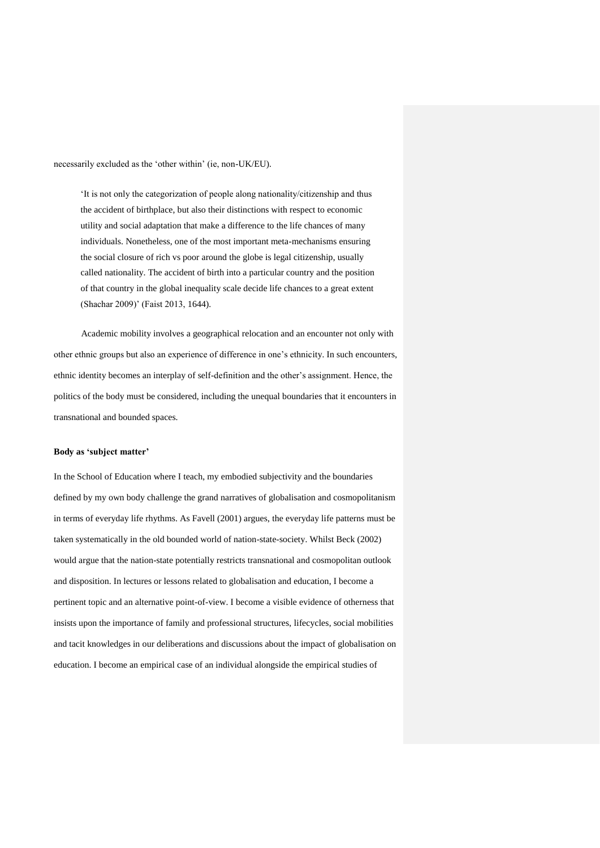necessarily excluded as the 'other within' (ie, non-UK/EU).

'It is not only the categorization of people along nationality/citizenship and thus the accident of birthplace, but also their distinctions with respect to economic utility and social adaptation that make a difference to the life chances of many individuals. Nonetheless, one of the most important meta-mechanisms ensuring the social closure of rich vs poor around the globe is legal citizenship, usually called nationality. The accident of birth into a particular country and the position of that country in the global inequality scale decide life chances to a great extent (Shachar 2009)' (Faist 2013, 1644).

Academic mobility involves a geographical relocation and an encounter not only with other ethnic groups but also an experience of difference in one's ethnicity. In such encounters, ethnic identity becomes an interplay of self-definition and the other's assignment. Hence, the politics of the body must be considered, including the unequal boundaries that it encounters in transnational and bounded spaces.

#### **Body as 'subject matter'**

In the School of Education where I teach, my embodied subjectivity and the boundaries defined by my own body challenge the grand narratives of globalisation and cosmopolitanism in terms of everyday life rhythms. As Favell (2001) argues, the everyday life patterns must be taken systematically in the old bounded world of nation-state-society. Whilst Beck (2002) would argue that the nation-state potentially restricts transnational and cosmopolitan outlook and disposition. In lectures or lessons related to globalisation and education, I become a pertinent topic and an alternative point-of-view. I become a visible evidence of otherness that insists upon the importance of family and professional structures, lifecycles, social mobilities and tacit knowledges in our deliberations and discussions about the impact of globalisation on education. I become an empirical case of an individual alongside the empirical studies of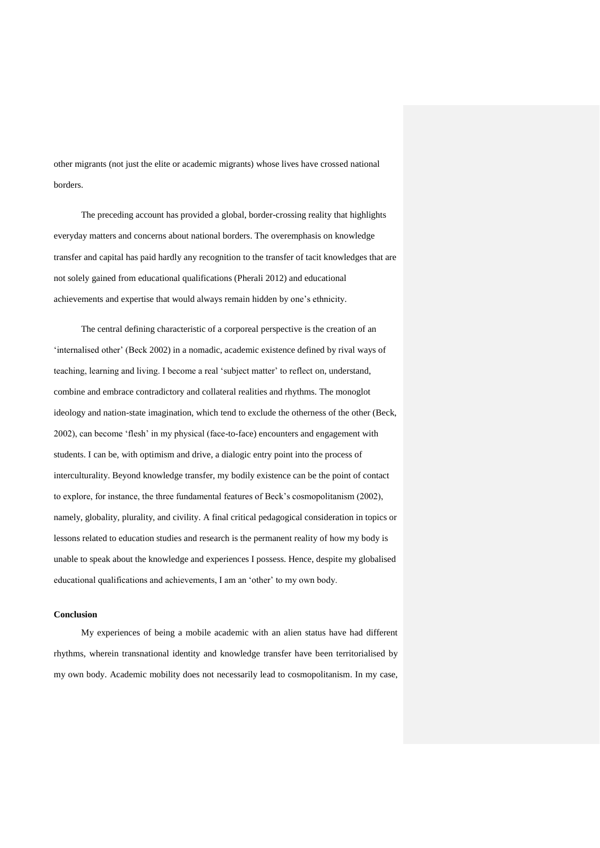other migrants (not just the elite or academic migrants) whose lives have crossed national borders.

The preceding account has provided a global, border-crossing reality that highlights everyday matters and concerns about national borders. The overemphasis on knowledge transfer and capital has paid hardly any recognition to the transfer of tacit knowledges that are not solely gained from educational qualifications (Pherali 2012) and educational achievements and expertise that would always remain hidden by one's ethnicity.

The central defining characteristic of a corporeal perspective is the creation of an 'internalised other' (Beck 2002) in a nomadic, academic existence defined by rival ways of teaching, learning and living. I become a real 'subject matter' to reflect on, understand, combine and embrace contradictory and collateral realities and rhythms. The monoglot ideology and nation-state imagination, which tend to exclude the otherness of the other (Beck, 2002), can become 'flesh' in my physical (face-to-face) encounters and engagement with students. I can be, with optimism and drive, a dialogic entry point into the process of interculturality. Beyond knowledge transfer, my bodily existence can be the point of contact to explore, for instance, the three fundamental features of Beck's cosmopolitanism (2002), namely, globality, plurality, and civility. A final critical pedagogical consideration in topics or lessons related to education studies and research is the permanent reality of how my body is unable to speak about the knowledge and experiences I possess. Hence, despite my globalised educational qualifications and achievements, I am an 'other' to my own body.

# **Conclusion**

My experiences of being a mobile academic with an alien status have had different rhythms, wherein transnational identity and knowledge transfer have been territorialised by my own body. Academic mobility does not necessarily lead to cosmopolitanism. In my case,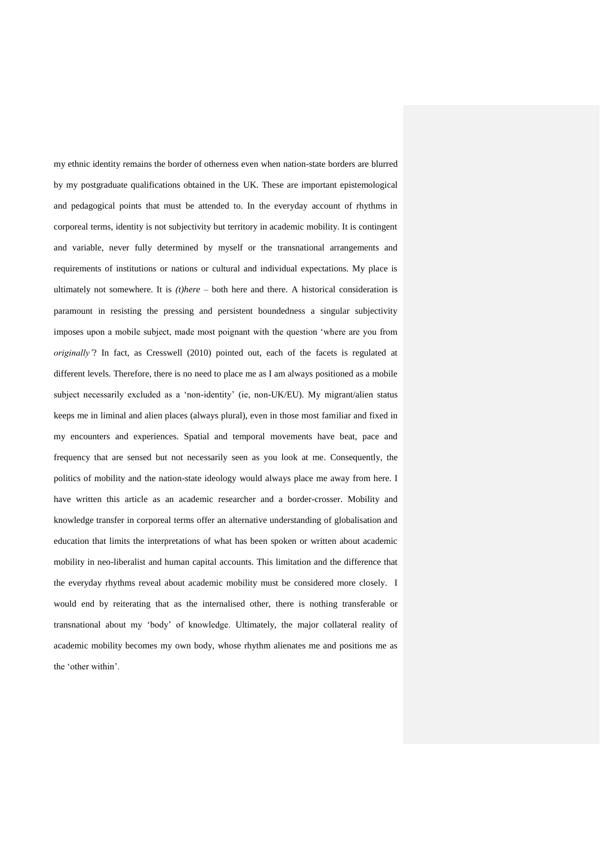my ethnic identity remains the border of otherness even when nation-state borders are blurred by my postgraduate qualifications obtained in the UK. These are important epistemological and pedagogical points that must be attended to. In the everyday account of rhythms in corporeal terms, identity is not subjectivity but territory in academic mobility. It is contingent and variable, never fully determined by myself or the transnational arrangements and requirements of institutions or nations or cultural and individual expectations. My place is ultimately not somewhere. It is *(t)here* – both here and there. A historical consideration is paramount in resisting the pressing and persistent boundedness a singular subjectivity imposes upon a mobile subject, made most poignant with the question 'where are you from *originally'*? In fact, as Cresswell (2010) pointed out, each of the facets is regulated at different levels. Therefore, there is no need to place me as I am always positioned as a mobile subject necessarily excluded as a 'non-identity' (ie, non-UK/EU). My migrant/alien status keeps me in liminal and alien places (always plural), even in those most familiar and fixed in my encounters and experiences. Spatial and temporal movements have beat, pace and frequency that are sensed but not necessarily seen as you look at me. Consequently, the politics of mobility and the nation-state ideology would always place me away from here. I have written this article as an academic researcher and a border-crosser. Mobility and knowledge transfer in corporeal terms offer an alternative understanding of globalisation and education that limits the interpretations of what has been spoken or written about academic mobility in neo-liberalist and human capital accounts. This limitation and the difference that the everyday rhythms reveal about academic mobility must be considered more closely. I would end by reiterating that as the internalised other, there is nothing transferable or transnational about my 'body' of knowledge. Ultimately, the major collateral reality of academic mobility becomes my own body, whose rhythm alienates me and positions me as the 'other within'.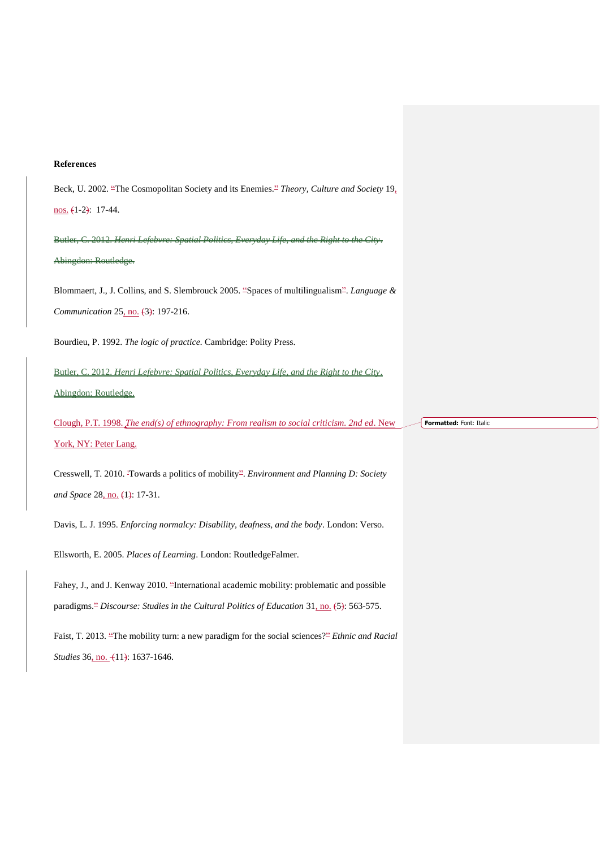## **References**

Beck, U. 2002. "The Cosmopolitan Society and its Enemies." *Theory, Culture and Society* 19, nos. (1-2): 17-44.

Butler, C. 2012. *Henri Lefebvre: Spatial Politics, Everyday Life, and the Right to the City*. Abingdon: Routledge.

Blommaert, J., J. Collins, and S. Slembrouck 2005. "Spaces of multilingualism". *Language & Communication* 25, no. (3): 197-216.

Bourdieu, P. 1992. *The logic of practice.* Cambridge: Polity Press.

Butler, C. 2012. *Henri Lefebvre: Spatial Politics, Everyday Life, and the Right to the City*. Abingdon: Routledge.

Clough, P.T. 1998. *The end(s) of ethnography: From realism to social criticism. 2nd ed*. New York, NY: Peter Lang.

Cresswell, T. 2010. 'Towards a politics of mobility". *Environment and Planning D: Society and Space* 28, no. (1): 17-31.

Davis, L. J. 1995. *Enforcing normalcy: Disability, deafness, and the body*. London: Verso.

Ellsworth, E. 2005. *Places of Learning*. London: RoutledgeFalmer.

Fahey, J., and J. Kenway 2010. "International academic mobility: problematic and possible paradigms.<sup>22</sup> *Discourse: Studies in the Cultural Politics of Education* 31, no. (5): 563-575.

Faist, T. 2013. "The mobility turn: a new paradigm for the social sciences?" *Ethnic and Racial Studies* 36, no. (11): 1637-1646.

**Formatted:** Font: Italic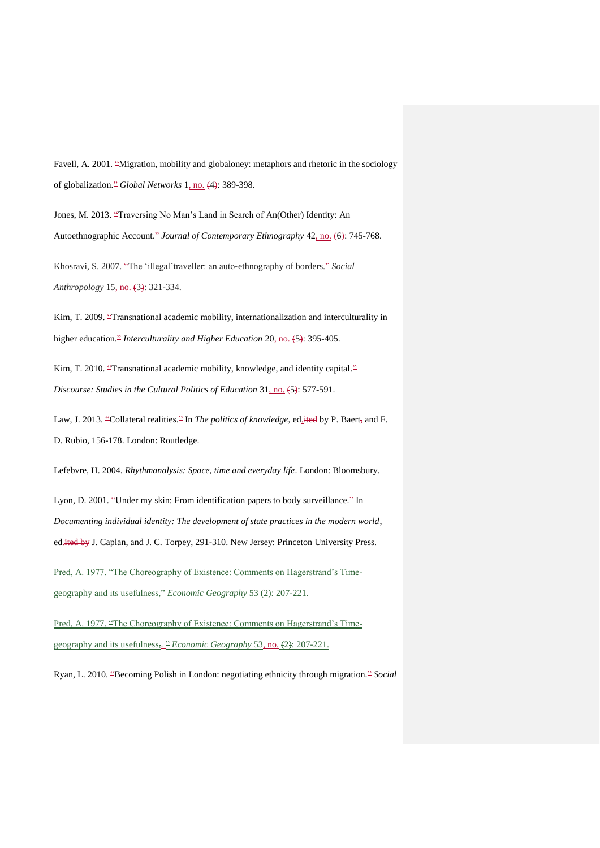Favell, A. 2001. "Migration, mobility and globaloney: metaphors and rhetoric in the sociology of globalization." *Global Networks* 1, no. (4): 389-398.

Jones, M. 2013. "Traversing No Man's Land in Search of An(Other) Identity: An Autoethnographic Account.<sup>22</sup> Journal of Contemporary Ethnography 42, no. (6): 745-768.

Khosravi, S. 2007. "The 'illegal'traveller: an auto‐ethnography of borders." *Social Anthropology* 15, no. (3): 321-334.

Kim, T. 2009. "Transnational academic mobility, internationalization and interculturality in higher education.<sup>22</sup> *Interculturality and Higher Education* 20, no. (5): 395-405.

Kim, T. 2010. "Transnational academic mobility, knowledge, and identity capital." *Discourse: Studies in the Cultural Politics of Education* 31, no. (5): 577-591.

Law, J. 2013. "Collateral realities." In *The politics of knowledge*, ed. ited by P. Baert, and F. D. Rubio, 156-178. London: Routledge.

Lefebvre, H. 2004. *Rhythmanalysis: Space, time and everyday life*. London: Bloomsbury.

Lyon, D. 2001. "Under my skin: From identification papers to body surveillance." In *Documenting individual identity: The development of state practices in the modern world*, ed.ited by J. Caplan, and J. C. Torpey, 291-310. New Jersey: Princeton University Press.

ed<del>, A. 1977. "The Choreography of Existence: Comments on Hagerstrand's Time-</del> geography and its usefulness," *Economic Geography* 53 (2): 207-221.

Pred, A. 1977. "The Choreography of Existence: Comments on Hagerstrand's Timegeography and its usefulness,. " *Economic Geography* 53, no. (2): 207-221.

Ryan, L. 2010. "Becoming Polish in London: negotiating ethnicity through migration." *Social*